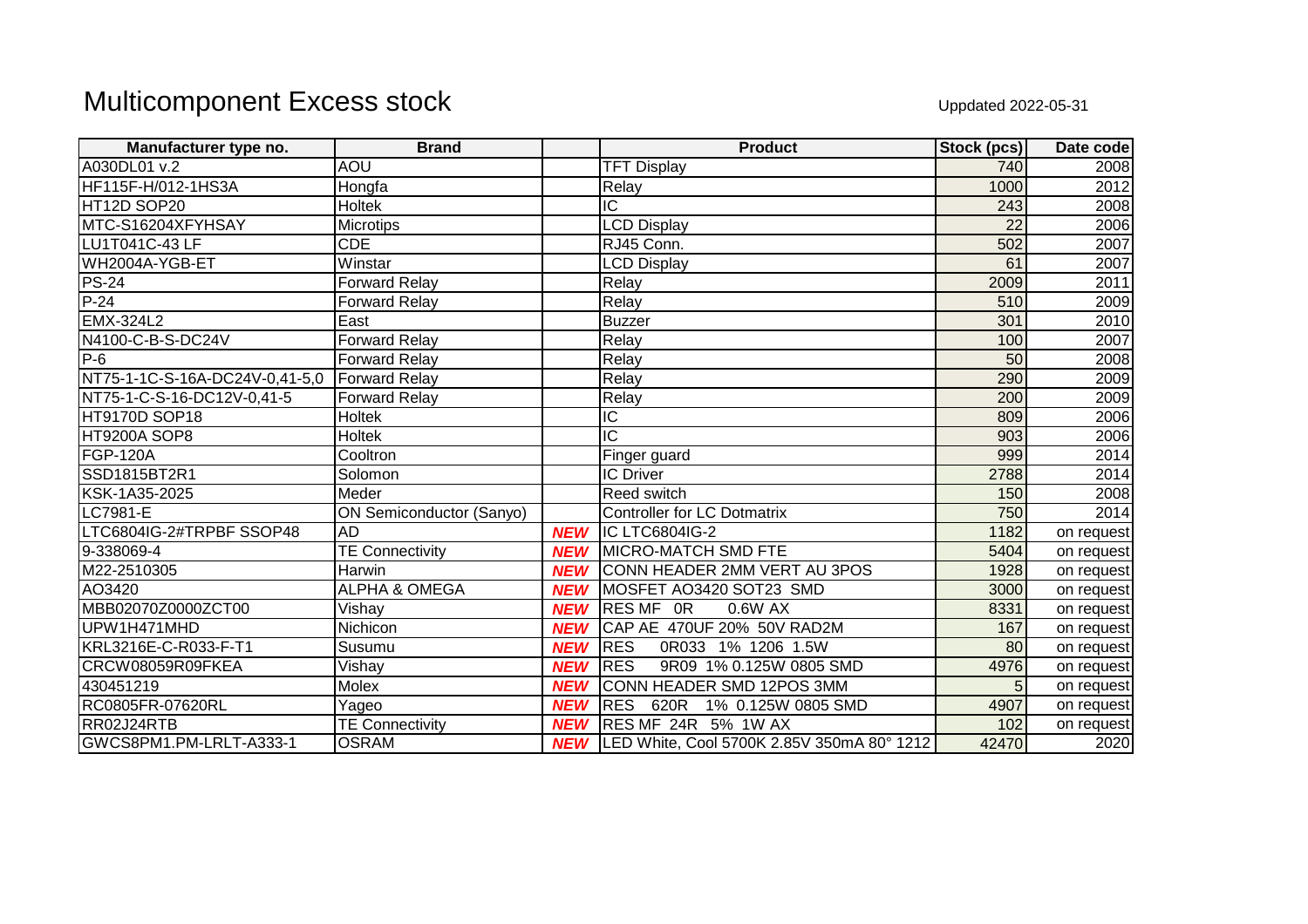## Multicomponent Excess stock Uppdated 2022-05-31

| Manufacturer type no.          | <b>Brand</b>                    |            | <b>Product</b>                                 | Stock (pcs)     | Date code  |
|--------------------------------|---------------------------------|------------|------------------------------------------------|-----------------|------------|
| A030DL01 v.2                   | <b>AOU</b>                      |            | <b>TFT Display</b>                             | 740             | 2008       |
| HF115F-H/012-1HS3A             | Hongfa                          |            | Relay                                          | 1000            | 2012       |
| HT12D SOP20                    | Holtek                          |            | $\overline{C}$                                 | 243             | 2008       |
| MTC-S16204XFYHSAY              | <b>Microtips</b>                |            | <b>LCD Display</b>                             | $\overline{22}$ | 2006       |
| LU1T041C-43 LF                 | $\overline{\text{CDE}}$         |            | RJ45 Conn.                                     | 502             | 2007       |
| WH2004A-YGB-ET                 | Winstar                         |            | <b>LCD Display</b>                             | 61              | 2007       |
| <b>PS-24</b>                   | <b>Forward Relay</b>            |            | Relay                                          | 2009            | 2011       |
| $P-24$                         | <b>Forward Relay</b>            |            | Relay                                          | 510             | 2009       |
| <b>EMX-324L2</b>               | East                            |            | Buzzer                                         | 301             | 2010       |
| N4100-C-B-S-DC24V              | <b>Forward Relay</b>            |            | Relay                                          | 100             | 2007       |
| $P-6$                          | <b>Forward Relay</b>            |            | Relay                                          | 50              | 2008       |
| NT75-1-1C-S-16A-DC24V-0,41-5,0 | Forward Relay                   |            | Relay                                          | 290             | 2009       |
| NT75-1-C-S-16-DC12V-0.41-5     | <b>Forward Relay</b>            |            | Relay                                          | 200             | 2009       |
| <b>HT9170D SOP18</b>           | Holtek                          |            | $\overline{C}$                                 | 809             | 2006       |
| <b>HT9200A SOP8</b>            | <b>Holtek</b>                   |            | $\overline{\text{IC}}$                         | 903             | 2006       |
| <b>FGP-120A</b>                | Cooltron                        |            | Finger guard                                   | 999             | 2014       |
| SSD1815BT2R1                   | Solomon                         |            | <b>IC Driver</b>                               | 2788            | 2014       |
| KSK-1A35-2025                  | Meder                           |            | Reed switch                                    | 150             | 2008       |
| LC7981-E                       | <b>ON Semiconductor (Sanyo)</b> |            | <b>Controller for LC Dotmatrix</b>             | 750             | 2014       |
| LTC6804IG-2#TRPBF SSOP48       | <b>AD</b>                       | <b>NEW</b> | IC LTC6804IG-2                                 | 1182            | on request |
| 9-338069-4                     | <b>TE Connectivity</b>          | <b>NEW</b> | <b>MICRO-MATCH SMD FTE</b>                     | 5404            | on request |
| M22-2510305                    | Harwin                          | <b>NEW</b> | CONN HEADER 2MM VERT AU 3POS                   | 1928            | on request |
| AO3420                         | <b>ALPHA &amp; OMEGA</b>        | <b>NEW</b> | MOSFET AO3420 SOT23 SMD                        | 3000            | on request |
| MBB02070Z0000ZCT00             | Vishay                          | <b>NEW</b> | RES MF OR<br>0.6W AX                           | 8331            | on request |
| UPW1H471MHD                    | Nichicon                        | <b>NEW</b> | CAP AE 470UF 20% 50V RAD2M                     | 167             | on request |
| KRL3216E-C-R033-F-T1           | Susumu                          | <b>NEW</b> | <b>RES</b><br>0R033<br>1% 1206 1.5W            | 80              | on request |
| CRCW08059R09FKEA               | Vishay                          | <b>NEW</b> | <b>RES</b><br>9R09 1% 0.125W 0805 SMD          | 4976            | on request |
| 430451219                      | Molex                           | <b>NEW</b> | CONN HEADER SMD 12POS 3MM                      | 5               | on request |
| RC0805FR-07620RL               | Yageo                           | <b>NEW</b> | <b>RES</b><br>620R<br>1% 0.125W 0805 SMD       | 4907            | on request |
| RR02J24RTB                     | <b>TE Connectivity</b>          | <b>NEW</b> | <b>RES MF 24R 5% 1W AX</b>                     | 102             | on request |
| GWCS8PM1.PM-LRLT-A333-1        | <b>OSRAM</b>                    |            | NEW LED White, Cool 5700K 2.85V 350mA 80° 1212 | 42470           | 2020       |